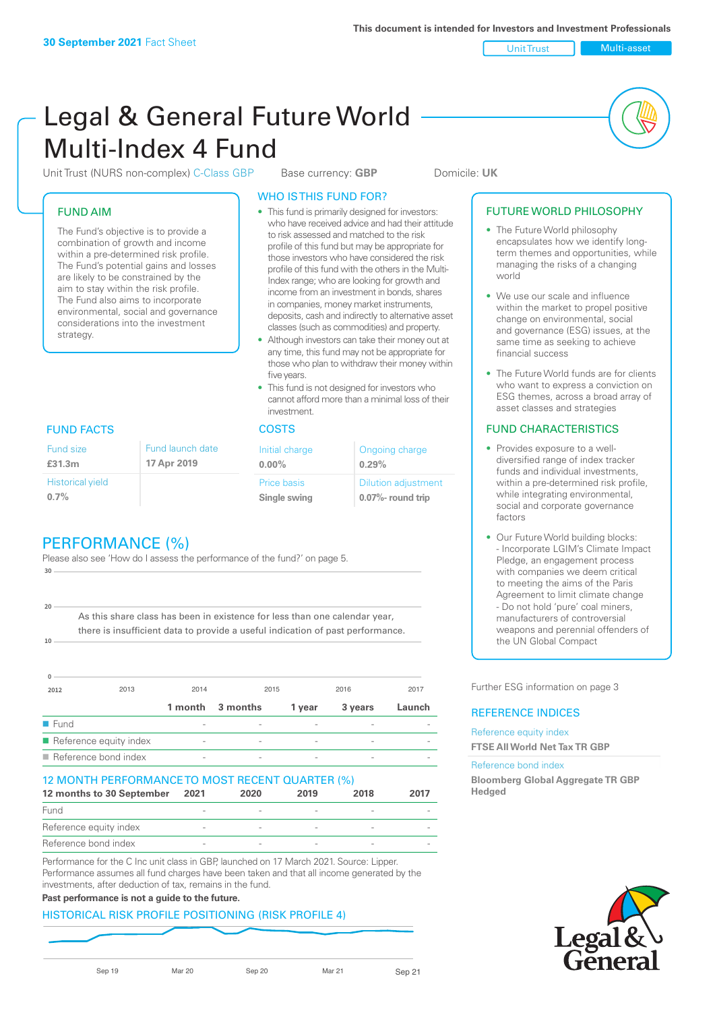Unit Trust Multi-asset

# Legal & General Future World Multi-Index 4 Fund

Unit Trust (NURS non-complex) C-Class GBP Base currency: **GBP** Domicile: UK

#### FUND AIM

The Fund's objective is to provide a combination of growth and income within a pre-determined risk profile. The Fund's potential gains and losses are likely to be constrained by the aim to stay within the risk profile. The Fund also aims to incorporate environmental, social and governance considerations into the investment strategy.

#### WHO IS THIS FUND FOR?

- This fund is primarily designed for investors: who have received advice and had their attitude to risk assessed and matched to the risk profile of this fund but may be appropriate for those investors who have considered the risk profile of this fund with the others in the Multi-Index range; who are looking for growth and income from an investment in bonds, shares in companies, money market instruments, deposits, cash and indirectly to alternative asset classes (such as commodities) and property.
- Although investors can take their money out at any time, this fund may not be appropriate for those who plan to withdraw their money within five years.
- This fund is not designed for investors who cannot afford more than a minimal loss of their investment.

| Fund launch date | Initial charge              | Ongoing charge                                      |
|------------------|-----------------------------|-----------------------------------------------------|
| 17 Apr 2019      | $0.00\%$                    | 0.29%                                               |
|                  | Price basis<br>Single swing | <b>Dilution adjustment</b><br>$0.07\%$ - round trip |

## FUND FACTS COSTS

Historical yield **0.7%**

Fund size **£31.3m**

**10**

**20**

# PERFORMANCE (%)

Please also see 'How do I assess the performance of the fund?' on page 5. **30**

As this share class has been in existence for less than one calendar year, there is insufficient data to provide a useful indication of past performance.

| $\Omega$             |                        |                          |          |        |         |        |
|----------------------|------------------------|--------------------------|----------|--------|---------|--------|
| 2012                 | 2013                   | 2014                     | 2015     |        | 2016    | 2017   |
|                      |                        | 1 month                  | 3 months | 1 year | 3 years | Launch |
| $\blacksquare$ Fund  |                        |                          |          |        |         |        |
|                      | Reference equity index | $\overline{\phantom{a}}$ |          | -      |         |        |
| Reference bond index |                        | $\overline{\phantom{a}}$ |          |        |         |        |

#### 12 MONTH PERFORMANCE TO MOST RECENT QUARTER (%)

| 12 months to 30 September | 2021 | 2020 | 2019 | 2018 | 2017 |
|---------------------------|------|------|------|------|------|
| Fund                      |      |      |      |      |      |
| Reference equity index    |      |      |      |      |      |
| Reference bond index      |      |      |      |      |      |

Performance for the C Inc unit class in GBP, launched on 17 March 2021. Source: Lipper. Performance assumes all fund charges have been taken and that all income generated by the investments, after deduction of tax, remains in the fund.

#### **Past performance is not a guide to the future.**

#### HISTORICAL RISK PROFILE POSITIONING (RISK PROFILE 4)

Sep 19 Mar 20 Sep 20 Mar 21 Sep 21

### FUTURE WORLD PHILOSOPHY

- The Future World philosophy encapsulates how we identify longterm themes and opportunities, while managing the risks of a changing world
- We use our scale and influence within the market to propel positive change on environmental, social and governance (ESG) issues, at the same time as seeking to achieve financial success
- The Future World funds are for clients who want to express a conviction on ESG themes, across a broad array of asset classes and strategies

#### FUND CHARACTERISTICS

- Provides exposure to a welldiversified range of index tracker funds and individual investments, within a pre-determined risk profile while integrating environmental, social and corporate governance factors
- Our Future World building blocks: - Incorporate LGIM's Climate Impact Pledge, an engagement process with companies we deem critical to meeting the aims of the Paris Agreement to limit climate change - Do not hold 'pure' coal miners, manufacturers of controversial weapons and perennial offenders of the UN Global Compact

Further ESG information on page 3

#### REFERENCE INDICES

Reference equity index **FTSE All World Net Tax TR GBP**

#### Reference bond index

**Bloomberg Global Aggregate TR GBP Hedged**

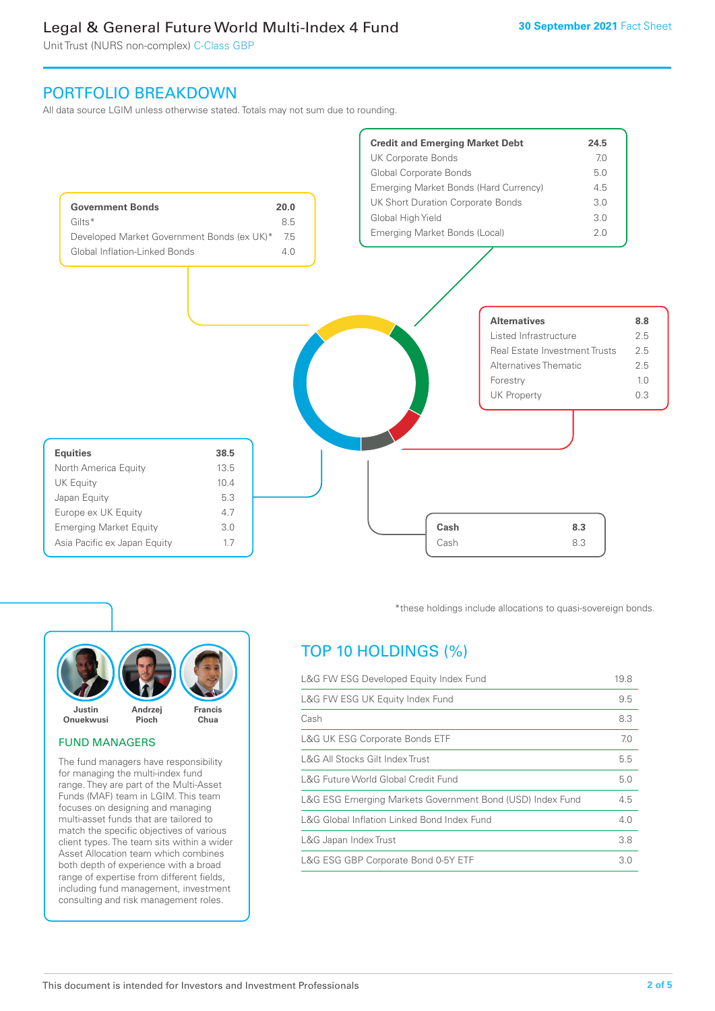Unit Trust (NURS non-complex) C-Class GBP

# PORTFOLIO BREAKDOWN

All data source LGIM unless otherwise stated. Totals may not sum due to rounding.





#### FUND MANAGERS

The fund managers have responsibility for managing the multi-index fund range. They are part of the Multi-Asset Funds (MAF) team in LGIM. This team focuses on designing and managing multi-asset funds that are tailored to match the specific objectives of various client types. The team sits within a wider Asset Allocation team which combines both depth of experience with a broad range of expertise from different fields, including fund management, investment consulting and risk management roles.

\*these holdings include allocations to quasi-sovereign bonds.

# TOP 10 HOLDINGS (%)

| L&G FW ESG Developed Equity Index Fund                    |     |
|-----------------------------------------------------------|-----|
| L&G FW ESG UK Equity Index Fund                           | 9.5 |
| Cash                                                      | 8.3 |
| <b>L&amp;G UK ESG Corporate Bonds ETF</b>                 | 7.0 |
| L&G All Stocks Gilt Index Trust                           | 5.5 |
| L&G Future World Global Credit Fund                       | 5.0 |
| L&G ESG Emerging Markets Government Bond (USD) Index Fund | 4.5 |
| L&G Global Inflation Linked Bond Index Fund               | 4.0 |
| L&G Japan Index Trust                                     | 3.8 |
| L&G ESG GBP Corporate Bond 0-5Y ETF                       | 3.0 |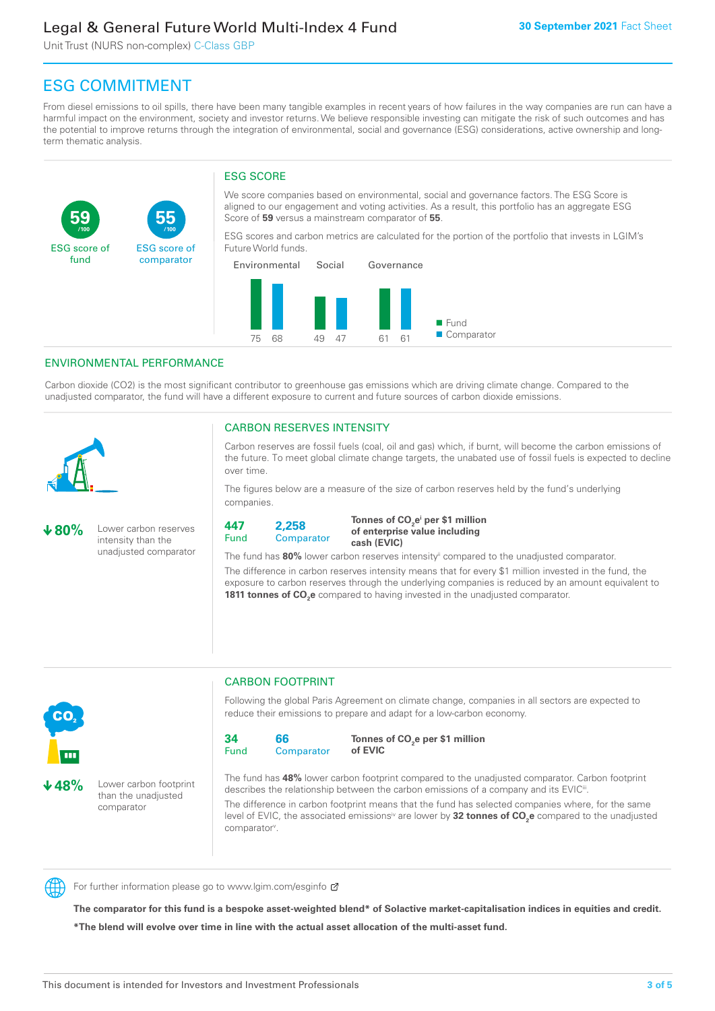Unit Trust (NURS non-complex) C-Class GBP

**55**

ESG score of comparator

# ESG COMMITMENT

From diesel emissions to oil spills, there have been many tangible examples in recent years of how failures in the way companies are run can have a harmful impact on the environment, society and investor returns. We believe responsible investing can mitigate the risk of such outcomes and has the potential to improve returns through the integration of environmental, social and governance (ESG) considerations, active ownership and longterm thematic analysis.

### ESG SCORE

We score companies based on environmental, social and governance factors. The ESG Score is aligned to our engagement and voting activities. As a result, this portfolio has an aggregate ESG Score of **59** versus a mainstream comparator of **55**.

ESG scores and carbon metrics are calculated for the portion of the portfolio that invests in LGIM's Future World funds.



#### ENVIRONMENTAL PERFORMANCE

**/100 /100**

Carbon dioxide (CO2) is the most significant contributor to greenhouse gas emissions which are driving climate change. Compared to the unadjusted comparator, the fund will have a different exposure to current and future sources of carbon dioxide emissions.



**59**

ESG score of fund

#### CARBON RESERVES INTENSITY

Carbon reserves are fossil fuels (coal, oil and gas) which, if burnt, will become the carbon emissions of the future. To meet global climate change targets, the unabated use of fossil fuels is expected to decline over time.

The figures below are a measure of the size of carbon reserves held by the fund's underlying companies.

**80%** Lower carbon reserves intensity than the unadjusted comparator



Tonnes of CO<sub>2</sub>e<sup>i</sup> per \$1 million **of enterprise value including cash (EVIC)**

The fund has 80% lower carbon reserves intensity<sup>ii</sup> compared to the unadjusted comparator.

The difference in carbon reserves intensity means that for every \$1 million invested in the fund, the exposure to carbon reserves through the underlying companies is reduced by an amount equivalent to **1811 tonnes of CO<sub>2</sub>e** compared to having invested in the unadjusted comparator.



**48%** Lower carbon footprint than the unadjusted comparator

# CARBON FOOTPRINT

Following the global Paris Agreement on climate change, companies in all sectors are expected to reduce their emissions to prepare and adapt for a low-carbon economy.



**Tonnes of CO2 e per \$1 million of EVIC**

The fund has **48%** lower carbon footprint compared to the unadjusted comparator. Carbon footprint describes the relationship between the carbon emissions of a company and its EVIC<sup>ii</sup>.

The difference in carbon footprint means that the fund has selected companies where, for the same level of EVIC, the associated emissions<sup>iv</sup> are lower by **32 tonnes of CO<sub>2</sub>e** compared to the unadjusted comparator<sup>v</sup>.



For further information please go to www.lgim.com/esginfo Ø

**The comparator for this fund is a bespoke asset-weighted blend\* of Solactive market-capitalisation indices in equities and credit. \*The blend will evolve over time in line with the actual asset allocation of the multi-asset fund.**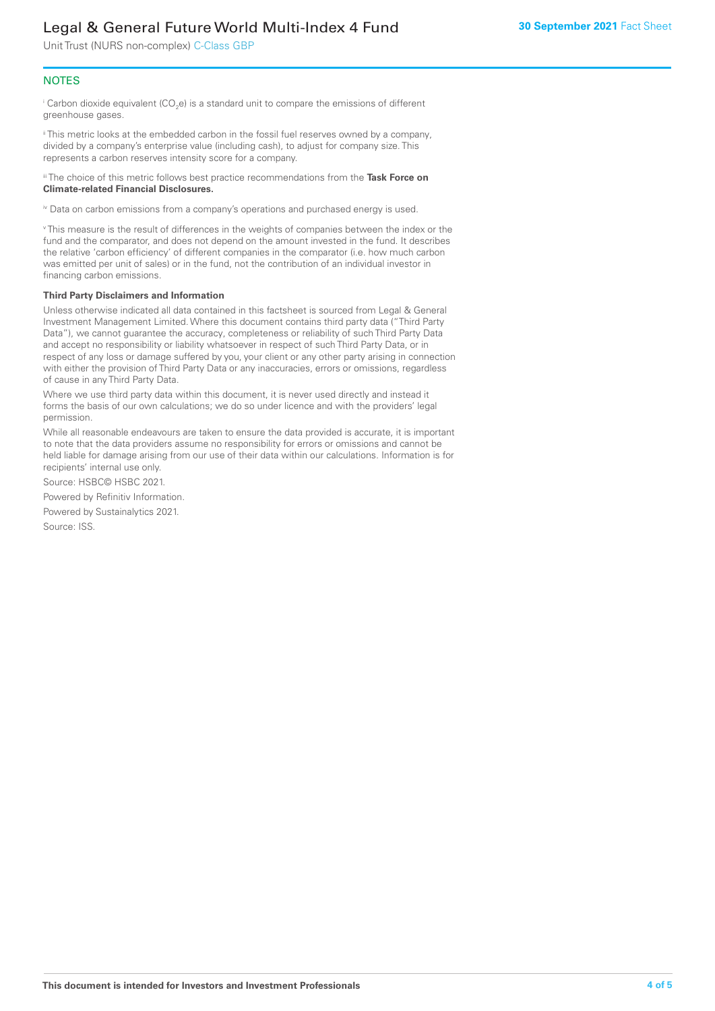Unit Trust (NURS non-complex) C-Class GBP

#### **NOTES**

 $^\mathrm{i}$  Carbon dioxide equivalent (CO<sub>2</sub>e) is a standard unit to compare the emissions of different greenhouse gases.

ii This metric looks at the embedded carbon in the fossil fuel reserves owned by a company, divided by a company's enterprise value (including cash), to adjust for company size. This represents a carbon reserves intensity score for a company.

iii The choice of this metric follows best practice recommendations from the **Task Force on Climate-related Financial Disclosures.**

iv Data on carbon emissions from a company's operations and purchased energy is used.

v This measure is the result of differences in the weights of companies between the index or the fund and the comparator, and does not depend on the amount invested in the fund. It describes the relative 'carbon efficiency' of different companies in the comparator (i.e. how much carbon was emitted per unit of sales) or in the fund, not the contribution of an individual investor in financing carbon emissions.

#### **Third Party Disclaimers and Information**

Unless otherwise indicated all data contained in this factsheet is sourced from Legal & General Investment Management Limited. Where this document contains third party data ("Third Party Data"), we cannot guarantee the accuracy, completeness or reliability of such Third Party Data and accept no responsibility or liability whatsoever in respect of such Third Party Data, or in respect of any loss or damage suffered by you, your client or any other party arising in connection with either the provision of Third Party Data or any inaccuracies, errors or omissions, regardless of cause in any Third Party Data.

Where we use third party data within this document, it is never used directly and instead it forms the basis of our own calculations; we do so under licence and with the providers' legal permission.

While all reasonable endeavours are taken to ensure the data provided is accurate, it is important to note that the data providers assume no responsibility for errors or omissions and cannot be held liable for damage arising from our use of their data within our calculations. Information is for recipients' internal use only.

Source: HSBC© HSBC 2021.

Powered by Refinitiv Information.

Powered by Sustainalytics 2021.

Source: ISS.